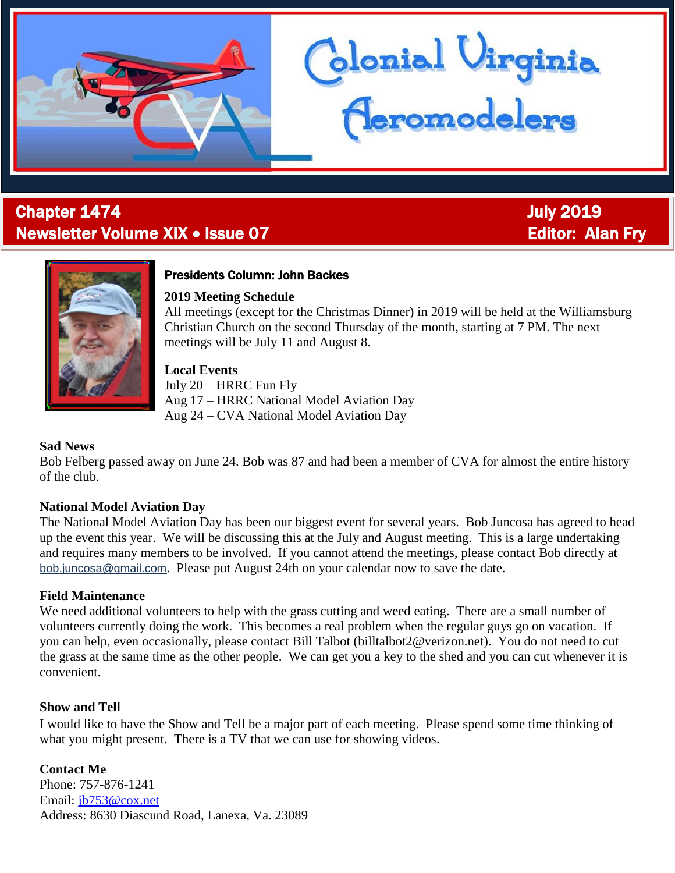

## **Chapter 1474 Chapter 1474 July 2019** Newsletter Volume XIX • Issue 07 Editor: Alan Fry

j



#### Presidents Column: John Backes

#### **2019 Meeting Schedule**

All meetings (except for the Christmas Dinner) in 2019 will be held at the Williamsburg Christian Church on the second Thursday of the month, starting at 7 PM. The next meetings will be July 11 and August 8.

blonial Virginia<br>Ceromodelers

#### **Local Events**

July 20 – HRRC Fun Fly Aug 17 – HRRC National Model Aviation Day Aug 24 – CVA National Model Aviation Day

#### **Sad News**

Bob Felberg passed away on June 24. Bob was 87 and had been a member of CVA for almost the entire history of the club.

#### **National Model Aviation Day**

The National Model Aviation Day has been our biggest event for several years. Bob Juncosa has agreed to head up the event this year. We will be discussing this at the July and August meeting. This is a large undertaking and requires many members to be involved. If you cannot attend the meetings, please contact Bob directly at [bob.juncosa@gmail.com](mailto:bob.juncosa@gmail.com). Please put August 24th on your calendar now to save the date.

#### **Field Maintenance**

We need additional volunteers to help with the grass cutting and weed eating. There are a small number of volunteers currently doing the work. This becomes a real problem when the regular guys go on vacation. If you can help, even occasionally, please contact Bill Talbot (billtalbot2@verizon.net). You do not need to cut the grass at the same time as the other people. We can get you a key to the shed and you can cut whenever it is convenient.

#### **Show and Tell**

I would like to have the Show and Tell be a major part of each meeting. Please spend some time thinking of what you might present. There is a TV that we can use for showing videos.

**Contact Me** Phone: 757-876-1241 Email: [jb753@cox.net](mailto:jb753@cox.net) Address: 8630 Diascund Road, Lanexa, Va. 23089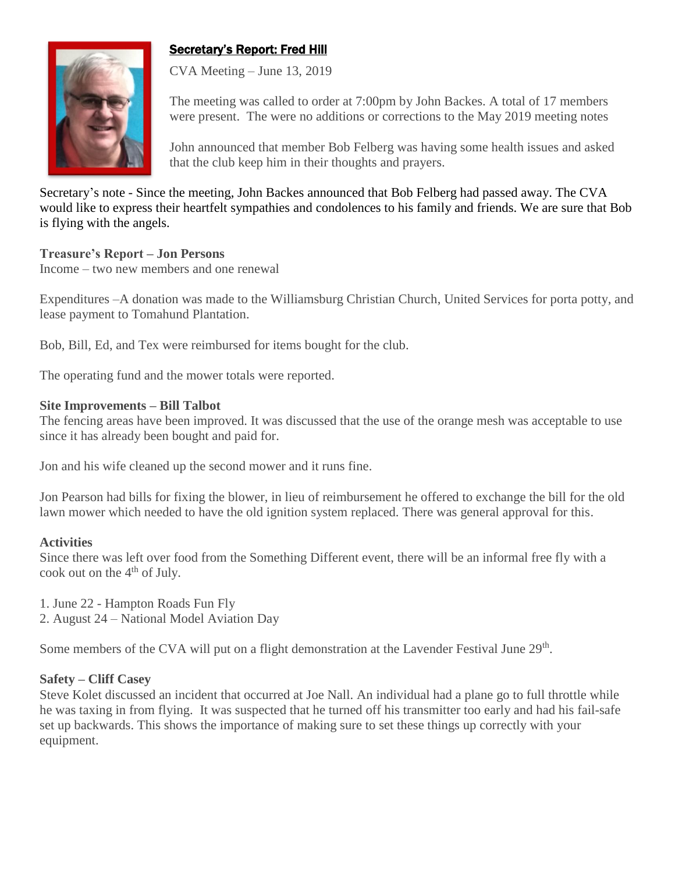## Secretary's Report: Fred Hill



CVA Meeting – June 13, 2019

The meeting was called to order at 7:00pm by John Backes. A total of 17 members were present. The were no additions or corrections to the May 2019 meeting notes

John announced that member Bob Felberg was having some health issues and asked that the club keep him in their thoughts and prayers.

Secretary's note - Since the meeting, John Backes announced that Bob Felberg had passed away. The CVA would like to express their heartfelt sympathies and condolences to his family and friends. We are sure that Bob is flying with the angels.

#### **Treasure's Report – Jon Persons**

Income – two new members and one renewal

Expenditures –A donation was made to the Williamsburg Christian Church, United Services for porta potty, and lease payment to Tomahund Plantation.

Bob, Bill, Ed, and Tex were reimbursed for items bought for the club.

The operating fund and the mower totals were reported.

#### **Site Improvements – Bill Talbot**

The fencing areas have been improved. It was discussed that the use of the orange mesh was acceptable to use since it has already been bought and paid for.

Jon and his wife cleaned up the second mower and it runs fine.

Jon Pearson had bills for fixing the blower, in lieu of reimbursement he offered to exchange the bill for the old lawn mower which needed to have the old ignition system replaced. There was general approval for this.

#### **Activities**

Since there was left over food from the Something Different event, there will be an informal free fly with a cook out on the  $4<sup>th</sup>$  of July.

1. June 22 - Hampton Roads Fun Fly

2. August 24 – National Model Aviation Day

Some members of the CVA will put on a flight demonstration at the Lavender Festival June 29<sup>th</sup>.

#### **Safety – Cliff Casey**

Steve Kolet discussed an incident that occurred at Joe Nall. An individual had a plane go to full throttle while he was taxing in from flying. It was suspected that he turned off his transmitter too early and had his fail-safe set up backwards. This shows the importance of making sure to set these things up correctly with your equipment.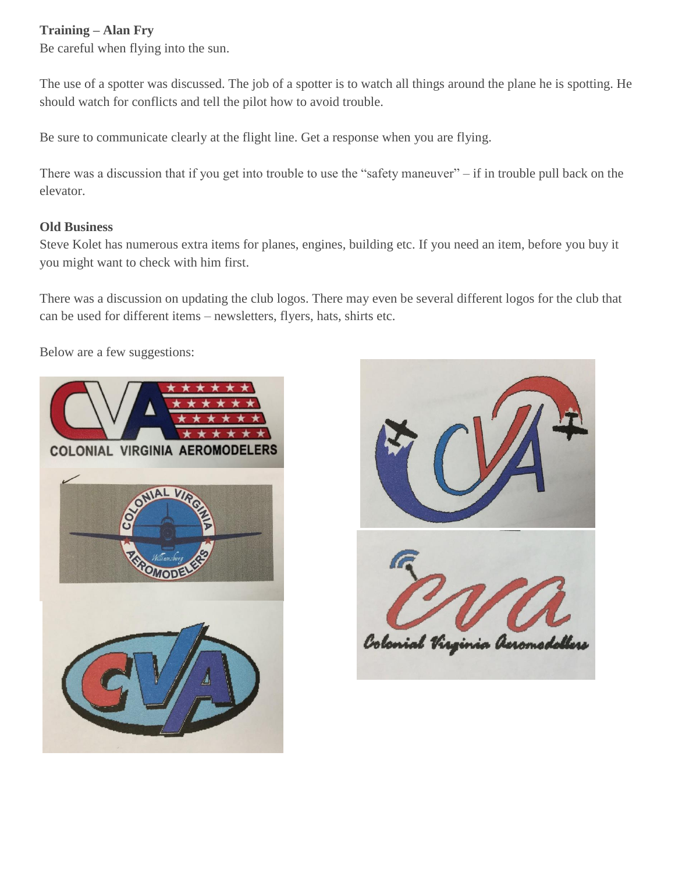#### **Training – Alan Fry**

Be careful when flying into the sun.

The use of a spotter was discussed. The job of a spotter is to watch all things around the plane he is spotting. He should watch for conflicts and tell the pilot how to avoid trouble.

Be sure to communicate clearly at the flight line. Get a response when you are flying.

There was a discussion that if you get into trouble to use the "safety maneuver" – if in trouble pull back on the elevator.

#### **Old Business**

Steve Kolet has numerous extra items for planes, engines, building etc. If you need an item, before you buy it you might want to check with him first.

There was a discussion on updating the club logos. There may even be several different logos for the club that can be used for different items – newsletters, flyers, hats, shirts etc.

Below are a few suggestions:



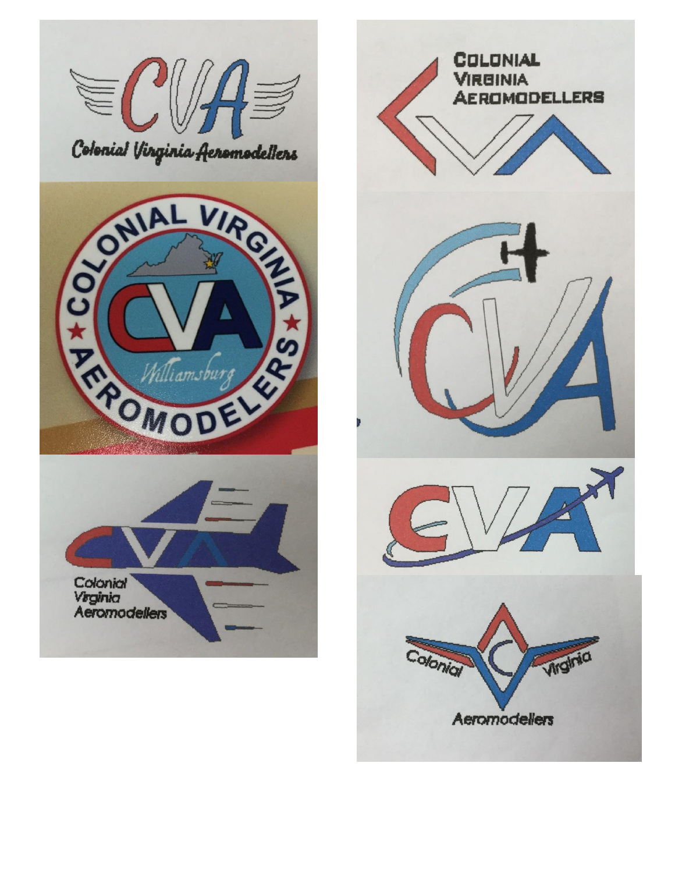

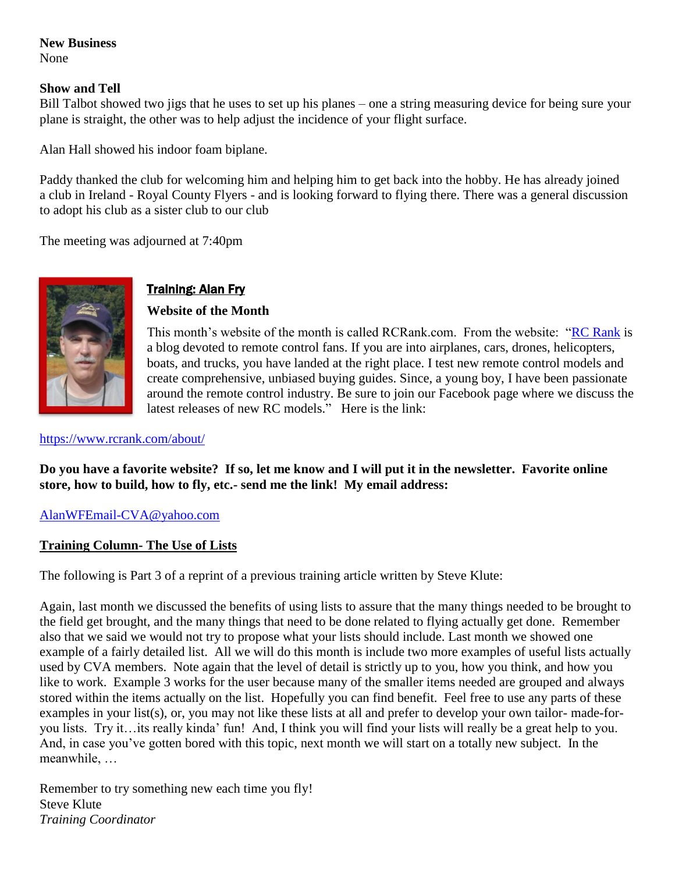#### **New Business** None

#### **Show and Tell**

Bill Talbot showed two jigs that he uses to set up his planes – one a string measuring device for being sure your plane is straight, the other was to help adjust the incidence of your flight surface.

Alan Hall showed his indoor foam biplane.

Paddy thanked the club for welcoming him and helping him to get back into the hobby. He has already joined a club in Ireland - Royal County Flyers - and is looking forward to flying there. There was a general discussion to adopt his club as a sister club to our club

The meeting was adjourned at 7:40pm



### **Training: Alan Fry**

#### **Website of the Month**

This month's website of the month is called RCRank.com. From the website: ["RC Rank](http://www.rcrank.com/) is a blog devoted to remote control fans. If you are into airplanes, cars, drones, helicopters, boats, and trucks, you have landed at the right place. I test new remote control models and create comprehensive, unbiased buying guides. Since, a young boy, I have been passionate around the remote control industry. Be sure to join our Facebook page where we discuss the latest releases of new RC models." Here is the link:

<https://www.rcrank.com/about/>

**Do you have a favorite website? If so, let me know and I will put it in the newsletter. Favorite online store, how to build, how to fly, etc.- send me the link! My email address:**

#### [AlanWFEmail-CVA@yahoo.com](mailto:AlanWFEmail-CVA@yahoo.com)

#### **Training Column- The Use of Lists**

The following is Part 3 of a reprint of a previous training article written by Steve Klute:

Again, last month we discussed the benefits of using lists to assure that the many things needed to be brought to the field get brought, and the many things that need to be done related to flying actually get done. Remember also that we said we would not try to propose what your lists should include. Last month we showed one example of a fairly detailed list. All we will do this month is include two more examples of useful lists actually used by CVA members. Note again that the level of detail is strictly up to you, how you think, and how you like to work. Example 3 works for the user because many of the smaller items needed are grouped and always stored within the items actually on the list. Hopefully you can find benefit. Feel free to use any parts of these examples in your list(s), or, you may not like these lists at all and prefer to develop your own tailor- made-foryou lists. Try it…its really kinda' fun! And, I think you will find your lists will really be a great help to you. And, in case you've gotten bored with this topic, next month we will start on a totally new subject. In the meanwhile, …

Remember to try something new each time you fly! Steve Klute *Training Coordinator*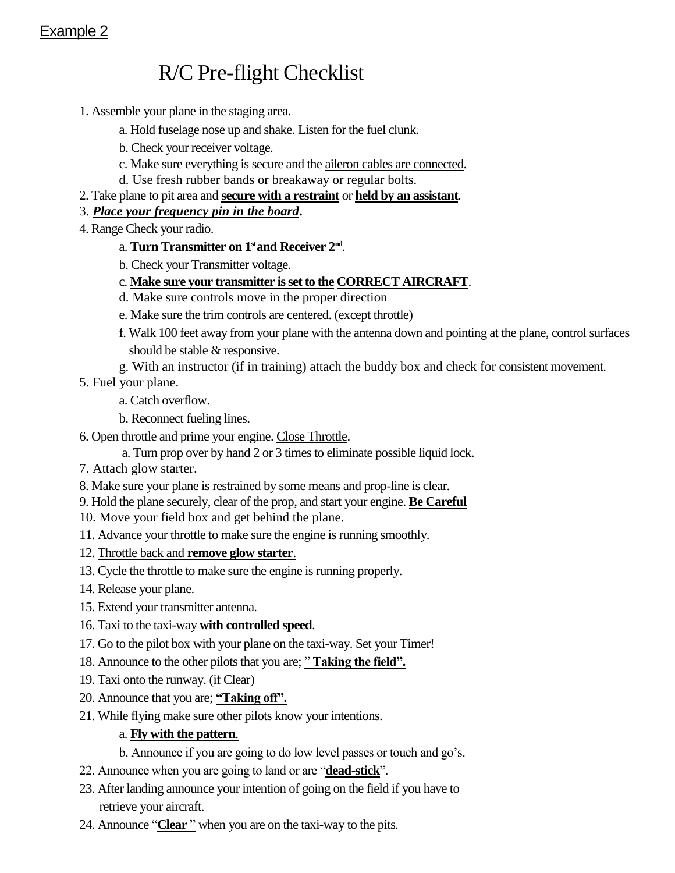## Example 2

# R/C Pre-flight Checklist

- 1. Assemble your plane in the staging area.
	- a. Hold fuselage nose up and shake. Listen for the fuel clunk.
	- b. Check your receiver voltage.
	- c. Make sure everything is secure and the aileron cables are connected.
	- d. Use fresh rubber bands or breakaway or regular bolts.
- 2. Take plane to pit area and **secure with a restraint** or **held by an assistant**.
- 3. *Place your frequency pin in the board***.**
- 4. Range Check your radio.
	- a. **Turn Transmitter on 1<sup>st</sup> and Receiver 2<sup>nd</sup>.**
	- b. Check your Transmitter voltage.
	- c. **Make sure your transmitter is set to the CORRECT AIRCRAFT**.
	- d. Make sure controls move in the proper direction
	- e. Make sure the trim controls are centered. (except throttle)
	- f. Walk 100 feet away from your plane with the antenna down and pointing at the plane, control surfaces should be stable & responsive.
	- g. With an instructor (if in training) attach the buddy box and check for consistent movement.
- 5. Fuel your plane.
	- a. Catch overflow.
	- b. Reconnect fueling lines.
- 6. Open throttle and prime your engine. Close Throttle.
	- a. Turn prop over by hand 2 or 3 times to eliminate possible liquid lock.
- 7. Attach glow starter.
- 8. Make sure your plane is restrained by some means and prop-line is clear.
- 9. Hold the plane securely, clear of the prop, and start your engine. **Be Careful**
- 10. Move your field box and get behind the plane.
- 11. Advance your throttle to make sure the engine is running smoothly.
- 12. Throttle back and **remove glow starter**.
- 13. Cycle the throttle to make sure the engine is running properly.
- 14. Release your plane.
- 15. Extend your transmitter antenna.
- 16. Taxi to the taxi-way **with controlled speed**.
- 17. Go to the pilot box with your plane on the taxi-way. Set your Timer!
- 18. Announce to the other pilots that you are; " **Taking the field".**
- 19. Taxi onto the runway. (if Clear)
- 20. Announce that you are; **"Taking off".**
- 21. While flying make sure other pilots know your intentions.

#### a. **Fly with the pattern**.

- b. Announce if you are going to do low level passes or touch and go's.
- 22. Announce when you are going to land or are "**dead-stick**".
- 23. After landing announce your intention of going on the field if you have to retrieve your aircraft.
- 24. Announce "**Clear**" when you are on the taxi-way to the pits.